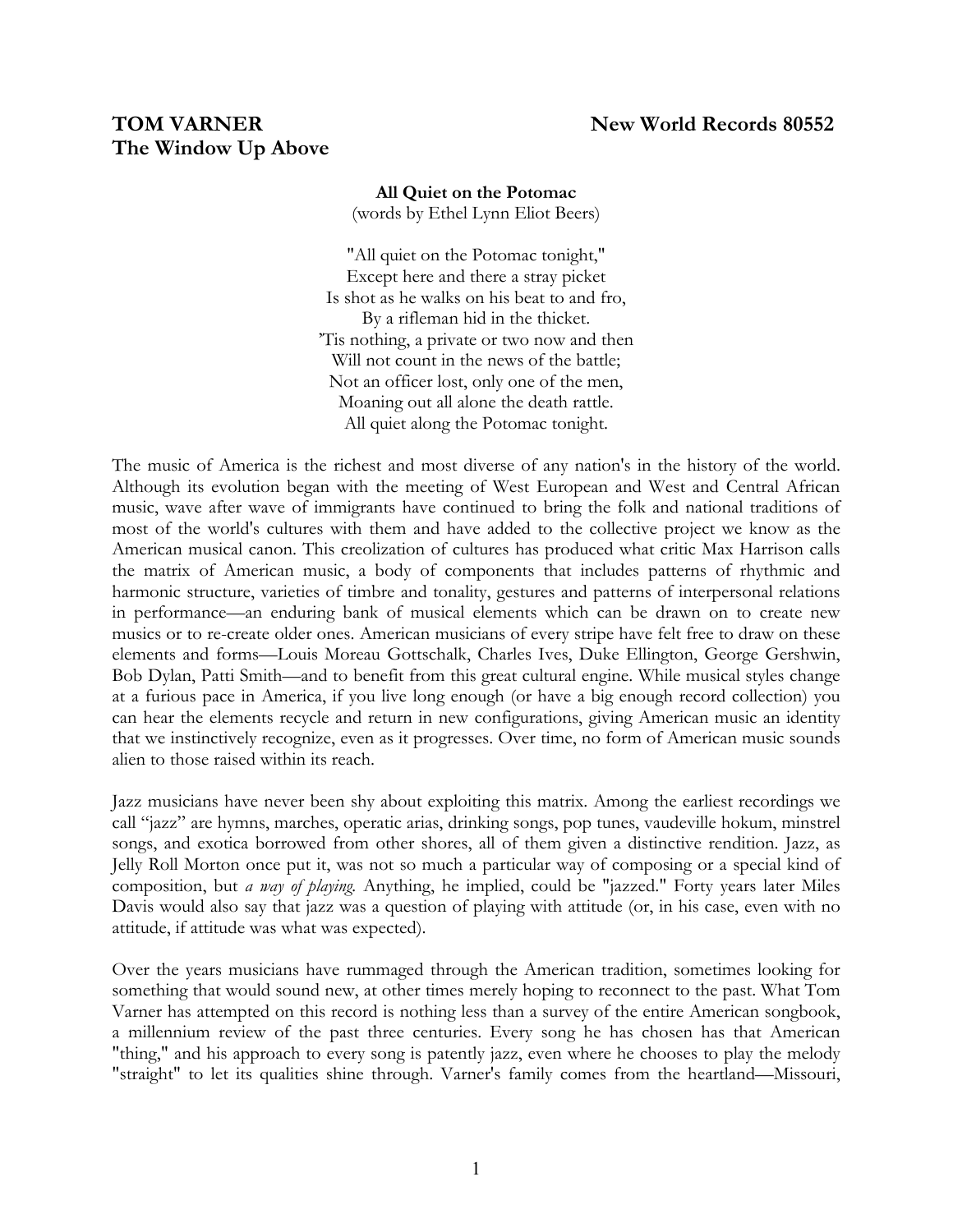# **The Window Up Above**

## **All Quiet on the Potomac** (words by Ethel Lynn Eliot Beers)

"All quiet on the Potomac tonight," Except here and there a stray picket Is shot as he walks on his beat to and fro, By a rifleman hid in the thicket. 'Tis nothing, a private or two now and then Will not count in the news of the battle; Not an officer lost, only one of the men, Moaning out all alone the death rattle. All quiet along the Potomac tonight.

The music of America is the richest and most diverse of any nation's in the history of the world. Although its evolution began with the meeting of West European and West and Central African music, wave after wave of immigrants have continued to bring the folk and national traditions of most of the world's cultures with them and have added to the collective project we know as the American musical canon. This creolization of cultures has produced what critic Max Harrison calls the matrix of American music, a body of components that includes patterns of rhythmic and harmonic structure, varieties of timbre and tonality, gestures and patterns of interpersonal relations in performance—an enduring bank of musical elements which can be drawn on to create new musics or to re-create older ones. American musicians of every stripe have felt free to draw on these elements and forms—Louis Moreau Gottschalk, Charles Ives, Duke Ellington, George Gershwin, Bob Dylan, Patti Smith—and to benefit from this great cultural engine. While musical styles change at a furious pace in America, if you live long enough (or have a big enough record collection) you can hear the elements recycle and return in new configurations, giving American music an identity that we instinctively recognize, even as it progresses. Over time, no form of American music sounds alien to those raised within its reach.

Jazz musicians have never been shy about exploiting this matrix. Among the earliest recordings we call "jazz" are hymns, marches, operatic arias, drinking songs, pop tunes, vaudeville hokum, minstrel songs, and exotica borrowed from other shores, all of them given a distinctive rendition. Jazz, as Jelly Roll Morton once put it, was not so much a particular way of composing or a special kind of composition, but *a way of playing.* Anything, he implied, could be "jazzed." Forty years later Miles Davis would also say that jazz was a question of playing with attitude (or, in his case, even with no attitude, if attitude was what was expected).

Over the years musicians have rummaged through the American tradition, sometimes looking for something that would sound new, at other times merely hoping to reconnect to the past. What Tom Varner has attempted on this record is nothing less than a survey of the entire American songbook, a millennium review of the past three centuries. Every song he has chosen has that American "thing," and his approach to every song is patently jazz, even where he chooses to play the melody "straight" to let its qualities shine through. Varner's family comes from the heartland—Missouri,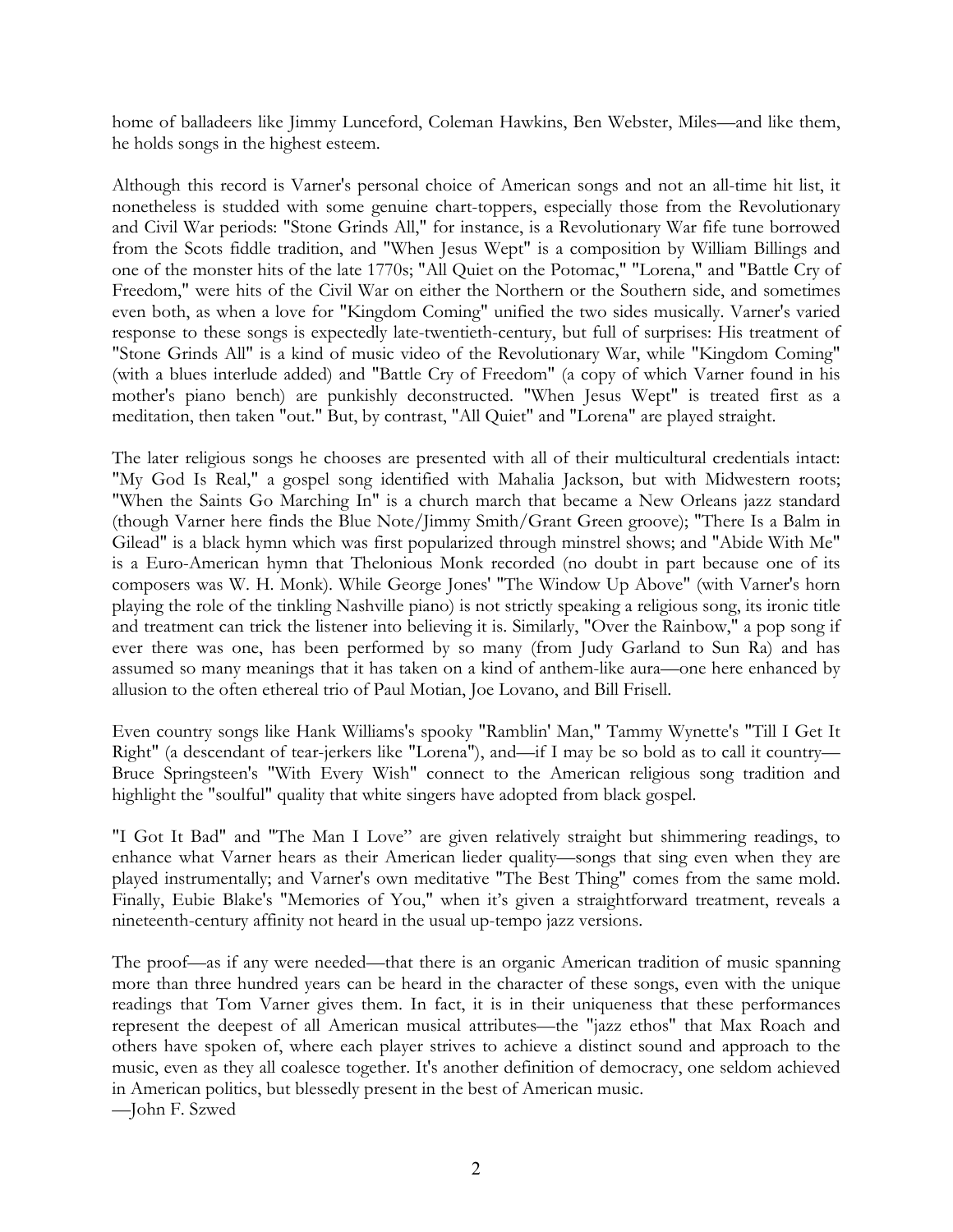home of balladeers like Jimmy Lunceford, Coleman Hawkins, Ben Webster, Miles—and like them, he holds songs in the highest esteem.

Although this record is Varner's personal choice of American songs and not an all-time hit list, it nonetheless is studded with some genuine chart-toppers, especially those from the Revolutionary and Civil War periods: "Stone Grinds All," for instance, is a Revolutionary War fife tune borrowed from the Scots fiddle tradition, and "When Jesus Wept" is a composition by William Billings and one of the monster hits of the late 1770s; "All Quiet on the Potomac," "Lorena," and "Battle Cry of Freedom," were hits of the Civil War on either the Northern or the Southern side, and sometimes even both, as when a love for "Kingdom Coming" unified the two sides musically. Varner's varied response to these songs is expectedly late-twentieth-century, but full of surprises: His treatment of "Stone Grinds All" is a kind of music video of the Revolutionary War, while "Kingdom Coming" (with a blues interlude added) and "Battle Cry of Freedom" (a copy of which Varner found in his mother's piano bench) are punkishly deconstructed. "When Jesus Wept" is treated first as a meditation, then taken "out." But, by contrast, "All Quiet" and "Lorena" are played straight.

The later religious songs he chooses are presented with all of their multicultural credentials intact: "My God Is Real," a gospel song identified with Mahalia Jackson, but with Midwestern roots; "When the Saints Go Marching In" is a church march that became a New Orleans jazz standard (though Varner here finds the Blue Note/Jimmy Smith/Grant Green groove); "There Is a Balm in Gilead" is a black hymn which was first popularized through minstrel shows; and "Abide With Me" is a Euro-American hymn that Thelonious Monk recorded (no doubt in part because one of its composers was W. H. Monk). While George Jones' "The Window Up Above" (with Varner's horn playing the role of the tinkling Nashville piano) is not strictly speaking a religious song, its ironic title and treatment can trick the listener into believing it is. Similarly, "Over the Rainbow," a pop song if ever there was one, has been performed by so many (from Judy Garland to Sun Ra) and has assumed so many meanings that it has taken on a kind of anthem-like aura—one here enhanced by allusion to the often ethereal trio of Paul Motian, Joe Lovano, and Bill Frisell.

Even country songs like Hank Williams's spooky "Ramblin' Man," Tammy Wynette's "Till I Get It Right" (a descendant of tear-jerkers like "Lorena"), and—if I may be so bold as to call it country— Bruce Springsteen's "With Every Wish" connect to the American religious song tradition and highlight the "soulful" quality that white singers have adopted from black gospel.

"I Got It Bad" and "The Man I Love" are given relatively straight but shimmering readings, to enhance what Varner hears as their American lieder quality—songs that sing even when they are played instrumentally; and Varner's own meditative "The Best Thing" comes from the same mold. Finally, Eubie Blake's "Memories of You," when it's given a straightforward treatment, reveals a nineteenth-century affinity not heard in the usual up-tempo jazz versions.

The proof—as if any were needed—that there is an organic American tradition of music spanning more than three hundred years can be heard in the character of these songs, even with the unique readings that Tom Varner gives them. In fact, it is in their uniqueness that these performances represent the deepest of all American musical attributes—the "jazz ethos" that Max Roach and others have spoken of, where each player strives to achieve a distinct sound and approach to the music, even as they all coalesce together. It's another definition of democracy, one seldom achieved in American politics, but blessedly present in the best of American music. —John F. Szwed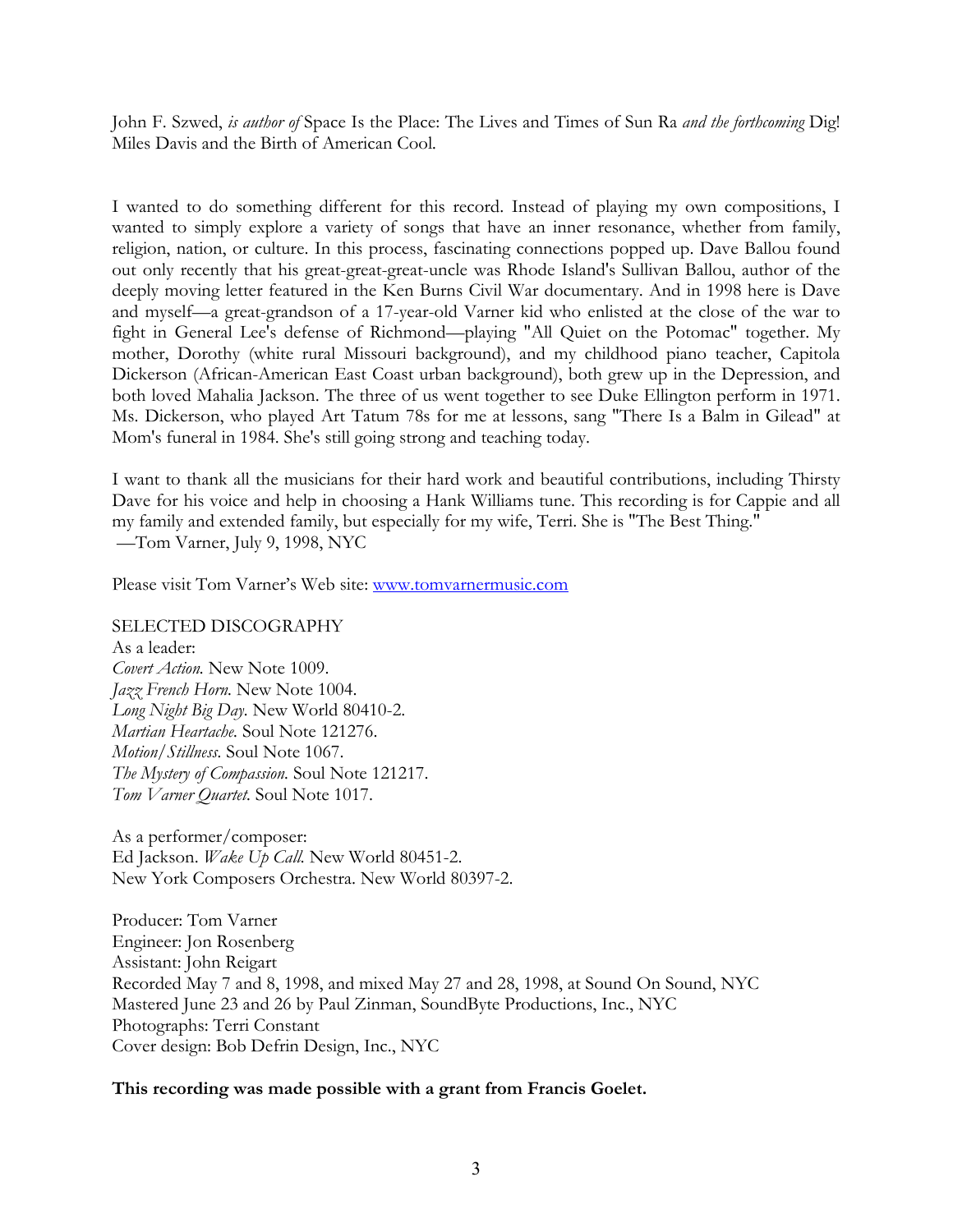John F. Szwed, *is author of* Space Is the Place: The Lives and Times of Sun Ra *and the forthcoming* Dig! Miles Davis and the Birth of American Cool*.*

I wanted to do something different for this record. Instead of playing my own compositions, I wanted to simply explore a variety of songs that have an inner resonance, whether from family, religion, nation, or culture. In this process, fascinating connections popped up. Dave Ballou found out only recently that his great-great-great-uncle was Rhode Island's Sullivan Ballou, author of the deeply moving letter featured in the Ken Burns Civil War documentary. And in 1998 here is Dave and myself—a great-grandson of a 17-year-old Varner kid who enlisted at the close of the war to fight in General Lee's defense of Richmond—playing "All Quiet on the Potomac" together. My mother, Dorothy (white rural Missouri background), and my childhood piano teacher, Capitola Dickerson (African-American East Coast urban background), both grew up in the Depression, and both loved Mahalia Jackson. The three of us went together to see Duke Ellington perform in 1971. Ms. Dickerson, who played Art Tatum 78s for me at lessons, sang "There Is a Balm in Gilead" at Mom's funeral in 1984. She's still going strong and teaching today.

I want to thank all the musicians for their hard work and beautiful contributions, including Thirsty Dave for his voice and help in choosing a Hank Williams tune. This recording is for Cappie and all my family and extended family, but especially for my wife, Terri. She is "The Best Thing." —Tom Varner, July 9, 1998, NYC

Please visit Tom Varner's Web site: [www.tomvarnermusic.com](http://www.tomvarnermusic.com/)

#### SELECTED DISCOGRAPHY

As a leader: *Covert Action.* New Note 1009. *Jazz French Horn.* New Note 1004. *Long Night Big Day.* New World 80410-2. *Martian Heartache.* Soul Note 121276. *Motion/Stillness.* Soul Note 1067. *The Mystery of Compassion.* Soul Note 121217. *Tom Varner Quartet.* Soul Note 1017.

As a performer/composer: Ed Jackson. *Wake Up Call.* New World 80451-2. New York Composers Orchestra. New World 80397-2.

Producer: Tom Varner Engineer: Jon Rosenberg Assistant: John Reigart Recorded May 7 and 8, 1998, and mixed May 27 and 28, 1998, at Sound On Sound, NYC Mastered June 23 and 26 by Paul Zinman, SoundByte Productions, Inc., NYC Photographs: Terri Constant Cover design: Bob Defrin Design, Inc., NYC

#### **This recording was made possible with a grant from Francis Goelet.**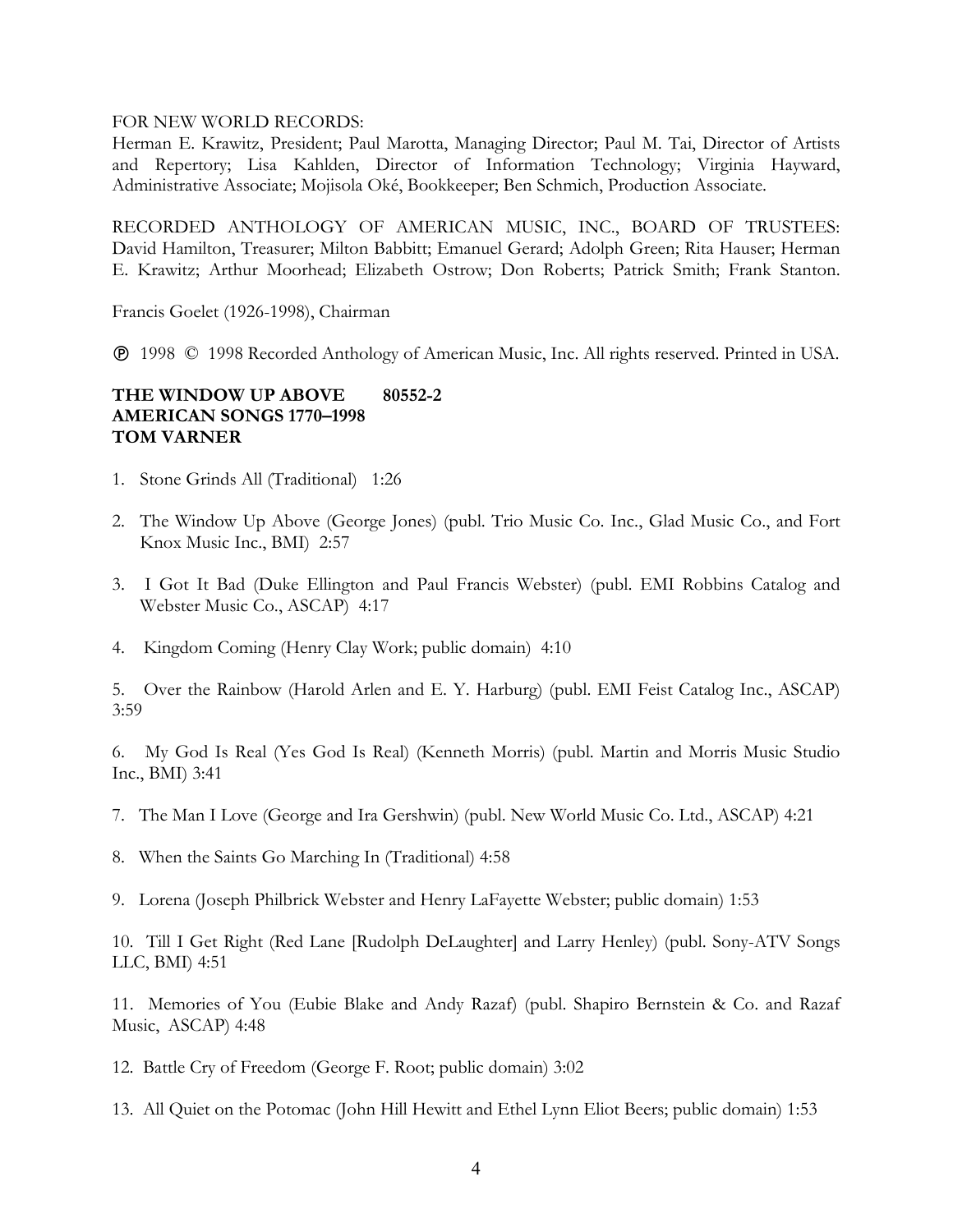#### FOR NEW WORLD RECORDS:

Herman E. Krawitz, President; Paul Marotta, Managing Director; Paul M. Tai, Director of Artists and Repertory; Lisa Kahlden, Director of Information Technology; Virginia Hayward, Administrative Associate; Mojisola Oké, Bookkeeper; Ben Schmich, Production Associate.

RECORDED ANTHOLOGY OF AMERICAN MUSIC, INC., BOARD OF TRUSTEES: David Hamilton, Treasurer; Milton Babbitt; Emanuel Gerard; Adolph Green; Rita Hauser; Herman E. Krawitz; Arthur Moorhead; Elizabeth Ostrow; Don Roberts; Patrick Smith; Frank Stanton.

Francis Goelet (1926-1998), Chairman

1998 © 1998 Recorded Anthology of American Music, Inc. All rights reserved. Printed in USA.

## **THE WINDOW UP ABOVE 80552-2 AMERICAN SONGS 1770–1998 TOM VARNER**

- 1. Stone Grinds All (Traditional) 1:26
- 2. The Window Up Above (George Jones) (publ. Trio Music Co. Inc., Glad Music Co., and Fort Knox Music Inc., BMI) 2:57
- 3. I Got It Bad (Duke Ellington and Paul Francis Webster) (publ. EMI Robbins Catalog and Webster Music Co., ASCAP) 4:17
- 4. Kingdom Coming (Henry Clay Work; public domain) 4:10

5. Over the Rainbow (Harold Arlen and E. Y. Harburg) (publ. EMI Feist Catalog Inc., ASCAP) 3:59

6. My God Is Real (Yes God Is Real) (Kenneth Morris) (publ. Martin and Morris Music Studio Inc., BMI) 3:41

- 7. The Man I Love (George and Ira Gershwin) (publ. New World Music Co. Ltd., ASCAP) 4:21
- 8. When the Saints Go Marching In (Traditional) 4:58
- 9. Lorena (Joseph Philbrick Webster and Henry LaFayette Webster; public domain) 1:53

10. Till I Get Right (Red Lane [Rudolph DeLaughter] and Larry Henley) (publ. Sony-ATV Songs LLC, BMI) 4:51

11. Memories of You (Eubie Blake and Andy Razaf) (publ. Shapiro Bernstein & Co. and Razaf Music, ASCAP) 4:48

- 12. Battle Cry of Freedom (George F. Root; public domain) 3:02
- 13. All Quiet on the Potomac (John Hill Hewitt and Ethel Lynn Eliot Beers; public domain) 1:53